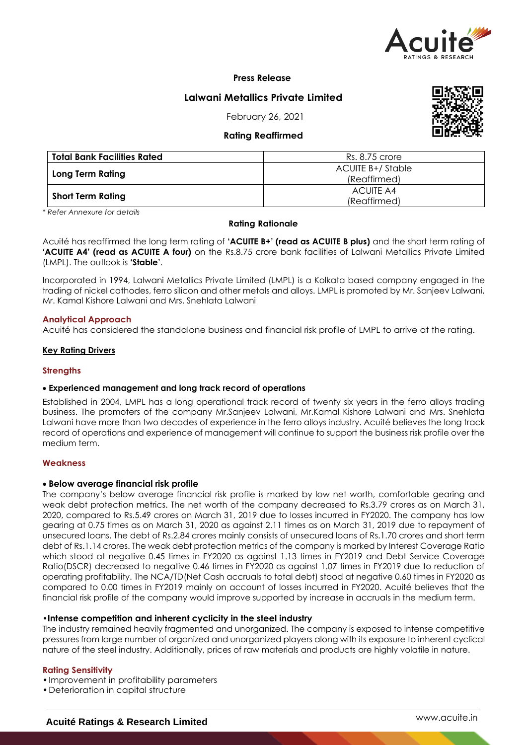

**Press Release**

# **Lalwani Metallics Private Limited**

February 26, 2021

# **Rating Reaffirmed**



| <b>Total Bank Facilities Rated</b> | Rs. 8.75 crore                   |  |  |
|------------------------------------|----------------------------------|--|--|
| Long Term Rating                   | ACUITE B+/Stable<br>(Reaffirmed) |  |  |
| <b>Short Term Rating</b>           | ACUITE A4<br>(Reaffirmed)        |  |  |

*\* Refer Annexure for details*

## **Rating Rationale**

Acuité has reaffirmed the long term rating of 'ACUITE B+' (read as ACUITE B plus) and the short term rating of **'ACUITE A4' (read as ACUITE A four)** on the Rs.8.75 crore bank facilities of Lalwani Metallics Private Limited (LMPL). The outlook is **'Stable'**.

Incorporated in 1994, Lalwani Metallics Private Limited (LMPL) is a Kolkata based company engaged in the trading of nickel cathodes, ferro silicon and other metals and alloys. LMPL is promoted by Mr. Sanjeev Lalwani, Mr. Kamal Kishore Lalwani and Mrs. Snehlata Lalwani

## **Analytical Approach**

Acuité has considered the standalone business and financial risk profile of LMPL to arrive at the rating.

## **Key Rating Drivers**

### **Strengths**

# **Experienced management and long track record of operations**

Established in 2004, LMPL has a long operational track record of twenty six years in the ferro alloys trading business. The promoters of the company Mr.Sanjeev Lalwani, Mr.Kamal Kishore Lalwani and Mrs. Snehlata Lalwani have more than two decades of experience in the ferro alloys industry. Acuité believes the long track record of operations and experience of management will continue to support the business risk profile over the medium term.

### **Weakness**

# **Below average financial risk profile**

The company's below average financial risk profile is marked by low net worth, comfortable gearing and weak debt protection metrics. The net worth of the company decreased to Rs.3.79 crores as on March 31, 2020, compared to Rs.5.49 crores on March 31, 2019 due to losses incurred in FY2020. The company has low gearing at 0.75 times as on March 31, 2020 as against 2.11 times as on March 31, 2019 due to repayment of unsecured loans. The debt of Rs.2.84 crores mainly consists of unsecured loans of Rs.1.70 crores and short term debt of Rs.1.14 crores. The weak debt protection metrics of the company is marked by Interest Coverage Ratio which stood at negative 0.45 times in FY2020 as against 1.13 times in FY2019 and Debt Service Coverage Ratio(DSCR) decreased to negative 0.46 times in FY2020 as against 1.07 times in FY2019 due to reduction of operating profitability. The NCA/TD(Net Cash accruals to total debt) stood at negative 0.60 times in FY2020 as compared to 0.00 times in FY2019 mainly on account of losses incurred in FY2020. Acuité believes that the financial risk profile of the company would improve supported by increase in accruals in the medium term.

# •**Intense competition and inherent cyclicity in the steel industry**

The industry remained heavily fragmented and unorganized. The company is exposed to intense competitive pressures from large number of organized and unorganized players along with its exposure to inherent cyclical nature of the steel industry. Additionally, prices of raw materials and products are highly volatile in nature.

### **Rating Sensitivity**

- •Improvement in profitability parameters
- •Deterioration in capital structure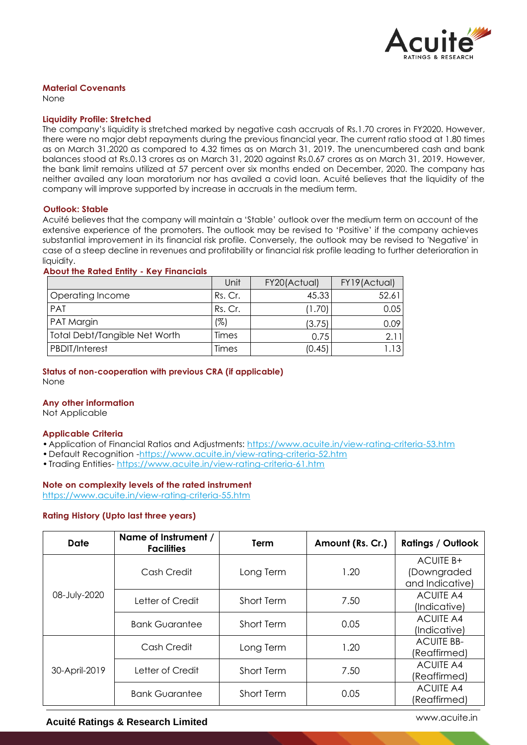

## **Material Covenants**

None

#### **Liquidity Profile: Stretched**

The company's liquidity is stretched marked by negative cash accruals of Rs.1.70 crores in FY2020. However, there were no major debt repayments during the previous financial year. The current ratio stood at 1.80 times as on March 31,2020 as compared to 4.32 times as on March 31, 2019. The unencumbered cash and bank balances stood at Rs.0.13 crores as on March 31, 2020 against Rs.0.67 crores as on March 31, 2019. However, the bank limit remains utilized at 57 percent over six months ended on December, 2020. The company has neither availed any loan moratorium nor has availed a covid loan. Acuité believes that the liquidity of the company will improve supported by increase in accruals in the medium term.

#### **Outlook: Stable**

Acuité believes that the company will maintain a 'Stable' outlook over the medium term on account of the extensive experience of the promoters. The outlook may be revised to 'Positive' if the company achieves substantial improvement in its financial risk profile. Conversely, the outlook may be revised to 'Negative' in case of a steep decline in revenues and profitability or financial risk profile leading to further deterioration in liquidity.

#### **About the Rated Entity - Key Financials**

|                               | Unit    | FY20(Actual) | FY19(Actual) |
|-------------------------------|---------|--------------|--------------|
| Operating Income              | Rs. Cr. | 45.33        | 52.61        |
| PAT                           | Rs. Cr. | (1.70)       | 0.05         |
| PAT Margin                    | (%)     | (3.75)       | 0.09         |
| Total Debt/Tangible Net Worth | Times   | 0.75         | 2.11         |
| PBDIT/Interest                | Times   | (0.45)       | 1.131        |

# **Status of non-cooperation with previous CRA (if applicable)**

None

# **Any other information**

Not Applicable

### **Applicable Criteria**

- •Application of Financial Ratios and Adjustments: https://www.acuite.in/view-rating-criteria-53.htm
- •Default Recognition -https://www.acuite.in/view-rating-criteria-52.htm
- •Trading Entities- https://www.acuite.in/view-rating-criteria-61.htm

### **Note on complexity levels of the rated instrument**

https://www.acuite.in/view-rating-criteria-55.htm

### **Rating History (Upto last three years)**

| Date          | Name of Instrument /<br><b>Facilities</b> | <b>Term</b>       | Amount (Rs. Cr.) | <b>Ratings / Outlook</b>                           |
|---------------|-------------------------------------------|-------------------|------------------|----------------------------------------------------|
| 08-July-2020  | Cash Credit                               | Long Term         | 1.20             | <b>ACUITE B+</b><br>(Downgraded<br>and Indicative) |
|               | Letter of Credit                          | <b>Short Term</b> | 7.50             | <b>ACUITE A4</b><br>(Indicative)                   |
|               | <b>Bank Guarantee</b>                     | <b>Short Term</b> | 0.05             | <b>ACUITE A4</b><br>(Indicative)                   |
| 30-April-2019 | Cash Credit                               | Long Term         | 1.20             | <b>ACUITE BB-</b><br>(Reaffirmed)                  |
|               | Letter of Credit                          | <b>Short Term</b> | 7.50             | <b>ACUITE A4</b><br>(Reaffirmed)                   |
|               | <b>Bank Guarantee</b>                     | Short Term        | 0.05             | <b>ACUITE A4</b><br>(Reaffirmed)                   |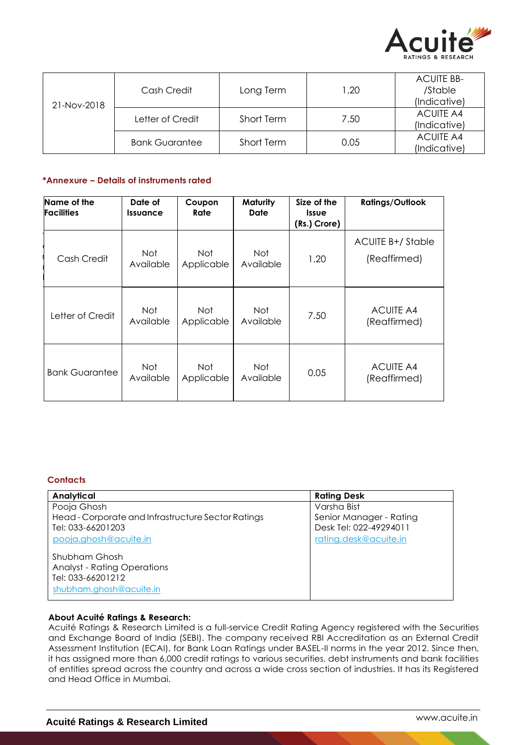

| 21-Nov-2018 | Cash Credit           | Long Term  | 1.20 | <b>ACUITE BB-</b><br>/Stable     |
|-------------|-----------------------|------------|------|----------------------------------|
|             |                       |            |      | (Indicative)                     |
|             | Letter of Credit      | Short Term | 7.50 | <b>ACUITE A4</b><br>(Indicative) |
|             | <b>Bank Guarantee</b> | Short Term | 0.05 | <b>ACUITE A4</b><br>(Indicative) |

# **\*Annexure – Details of instruments rated**

| Name of the<br><b>Facilities</b> | Date of<br><b>Issuance</b> | Coupon<br>Rate           | Maturity<br>Date | Size of the<br><b>Issue</b><br>(Rs.) Crore) | <b>Ratings/Outlook</b>                  |
|----------------------------------|----------------------------|--------------------------|------------------|---------------------------------------------|-----------------------------------------|
| Cash Credit                      | Not<br>Available           | Not<br>Applicable        | Not<br>Available | 1.20                                        | <b>ACUITE B+/Stable</b><br>(Reaffirmed) |
| Letter of Credit                 | Not<br>Available           | <b>Not</b><br>Applicable | Not<br>Available | 7.50                                        | <b>ACUITE A4</b><br>(Reaffirmed)        |
| <b>Bank Guarantee</b>            | Not<br>Available           | <b>Not</b><br>Applicable | Not<br>Available | 0.05                                        | <b>ACUITE A4</b><br>(Reaffirmed)        |

# **Contacts**

| Analytical                                         | <b>Rating Desk</b>      |
|----------------------------------------------------|-------------------------|
| Pooja Ghosh                                        | Varsha Bist             |
| Head - Corporate and Infrastructure Sector Ratings | Senior Manager - Rating |
| Tel: 033-66201203                                  | Desk Tel: 022-49294011  |
| pooja.ghosh@acuite.in                              | rating.desk@acuite.in   |
| Shubham Ghosh                                      |                         |
| <b>Analyst - Rating Operations</b>                 |                         |
| Tel: 033-66201212                                  |                         |
| shubham.ghosh@acuite.in                            |                         |

## **About Acuité Ratings & Research:**

Acuité Ratings & Research Limited is a full-service Credit Rating Agency registered with the Securities and Exchange Board of India (SEBI). The company received RBI Accreditation as an External Credit Assessment Institution (ECAI), for Bank Loan Ratings under BASEL-II norms in the year 2012. Since then, it has assigned more than 6,000 credit ratings to various securities, debt instruments and bank facilities of entities spread across the country and across a wide cross section of industries. It has its Registered and Head Office in Mumbai.